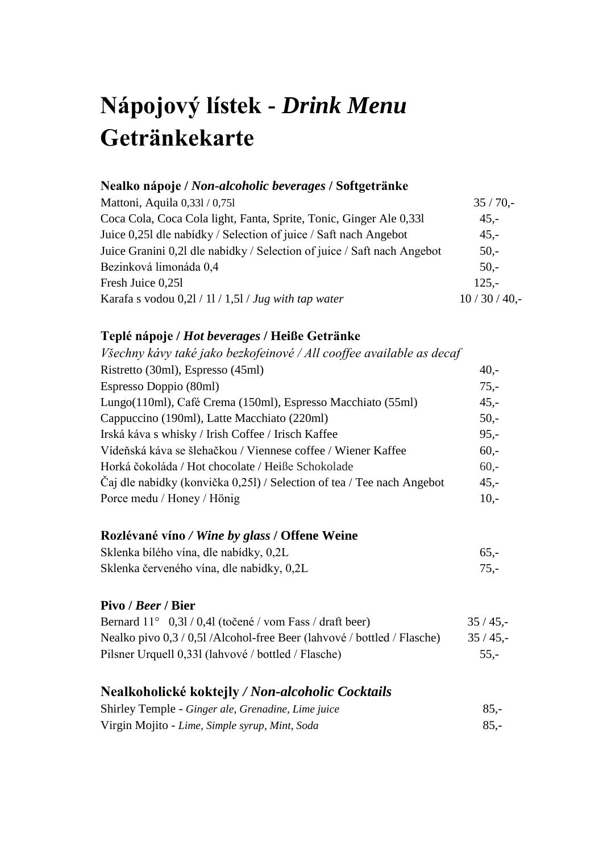# **Nápojový lístek -** *Drink Menu* **Getränkekarte**

## **Nealko nápoje /** *Non-alcoholic beverages* **/ Softgetränke**

| Mattoni, Aquila 0,331 / 0,751                                           | $35/70$ ,-    |
|-------------------------------------------------------------------------|---------------|
| Coca Cola, Coca Cola light, Fanta, Sprite, Tonic, Ginger Ale 0,331      | $45,-$        |
| Juice 0,251 dle nabidky / Selection of juice / Saft nach Angebot        | $45,-$        |
| Juice Granini 0,21 dle nabidky / Selection of juice / Saft nach Angebot | $50 -$        |
| Bezinková limonáda 0,4                                                  | $50 -$        |
| Fresh Juice 0,251                                                       | $125 -$       |
| Karafa s vodou $0,2l / 11 / 1,5l / Jug$ with tap water                  | $10/30/40$ ,- |

## **Teplé nápoje /** *Hot beverages* **/ Heiße Getränke**

| $40,-$ |
|--------|
| $75,-$ |
| $45,-$ |
| $50,-$ |
| $95,-$ |
| $60 -$ |
| $60 -$ |
| $45,-$ |
| $10,-$ |
|        |

#### **Rozlévané víno** */ Wine by glass* **/ Offene Weine**

| Sklenka bílého vína, dle nabídky, 0,2L    | $65. -$ |
|-------------------------------------------|---------|
| Sklenka červeného vína, dle nabídky, 0,2L |         |

#### **Pivo /** *Beer* **/ Bier**

| Bernard $11^{\circ}$ 0,31/0,41 (točené / vom Fass / draft beer)         | $35/45$ ,- |
|-------------------------------------------------------------------------|------------|
| Nealko pivo 0,3 / 0,5l /Alcohol-free Beer (lahvové / bottled / Flasche) | $35/45$ .  |
| Pilsner Urquell 0,331 (lahvové / bottled / Flasche)                     | $55. -$    |

## **Nealkoholické koktejly** */ Non-alcoholic Cocktails*

| Shirley Temple - Ginger ale, Grenadine, Lime juice | $85. -$ |
|----------------------------------------------------|---------|
| Virgin Mojito - Lime, Simple syrup, Mint, Soda     | $85. -$ |